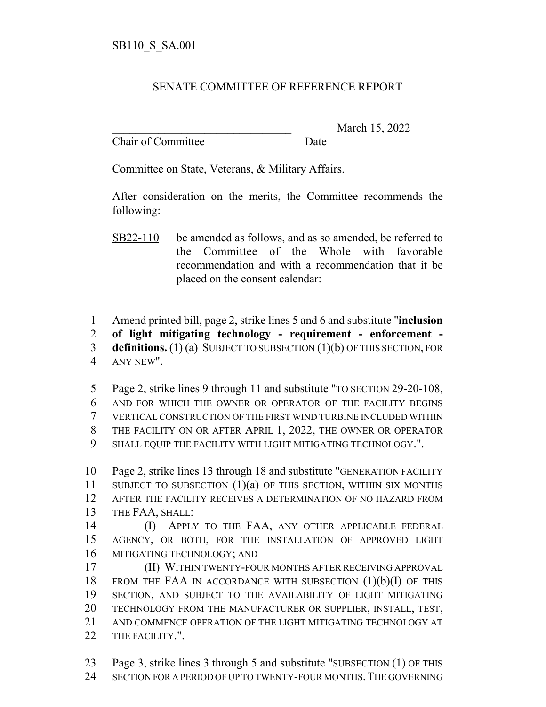## SENATE COMMITTEE OF REFERENCE REPORT

Chair of Committee Date

March 15, 2022

Committee on State, Veterans, & Military Affairs.

After consideration on the merits, the Committee recommends the following:

SB22-110 be amended as follows, and as so amended, be referred to the Committee of the Whole with favorable recommendation and with a recommendation that it be placed on the consent calendar:

Amend printed bill, page 2, strike lines 5 and 6 and substitute "**inclusion**

**of light mitigating technology - requirement - enforcement -**

 **definitions.** (1) (a) SUBJECT TO SUBSECTION (1)(b) OF THIS SECTION, FOR ANY NEW".

 Page 2, strike lines 9 through 11 and substitute "TO SECTION 29-20-108, AND FOR WHICH THE OWNER OR OPERATOR OF THE FACILITY BEGINS VERTICAL CONSTRUCTION OF THE FIRST WIND TURBINE INCLUDED WITHIN THE FACILITY ON OR AFTER APRIL 1, 2022, THE OWNER OR OPERATOR SHALL EQUIP THE FACILITY WITH LIGHT MITIGATING TECHNOLOGY.".

 Page 2, strike lines 13 through 18 and substitute "GENERATION FACILITY SUBJECT TO SUBSECTION (1)(a) OF THIS SECTION, WITHIN SIX MONTHS AFTER THE FACILITY RECEIVES A DETERMINATION OF NO HAZARD FROM THE FAA, SHALL: (I) APPLY TO THE FAA, ANY OTHER APPLICABLE FEDERAL

 AGENCY, OR BOTH, FOR THE INSTALLATION OF APPROVED LIGHT MITIGATING TECHNOLOGY; AND

 (II) WITHIN TWENTY-FOUR MONTHS AFTER RECEIVING APPROVAL FROM THE FAA IN ACCORDANCE WITH SUBSECTION (1)(b)(I) OF THIS SECTION, AND SUBJECT TO THE AVAILABILITY OF LIGHT MITIGATING TECHNOLOGY FROM THE MANUFACTURER OR SUPPLIER, INSTALL, TEST, AND COMMENCE OPERATION OF THE LIGHT MITIGATING TECHNOLOGY AT 22 THE FACILITY.".

 Page 3, strike lines 3 through 5 and substitute "SUBSECTION (1) OF THIS SECTION FOR A PERIOD OF UP TO TWENTY-FOUR MONTHS.THE GOVERNING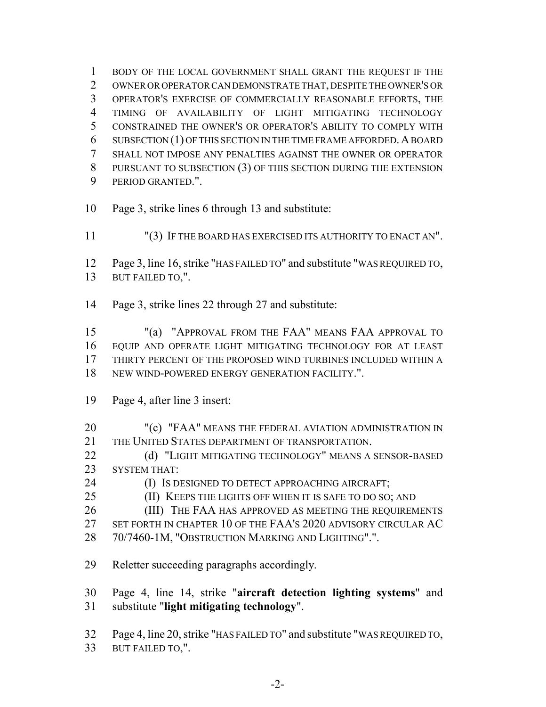BODY OF THE LOCAL GOVERNMENT SHALL GRANT THE REQUEST IF THE OWNER OR OPERATOR CAN DEMONSTRATE THAT, DESPITE THE OWNER'S OR OPERATOR'S EXERCISE OF COMMERCIALLY REASONABLE EFFORTS, THE TIMING OF AVAILABILITY OF LIGHT MITIGATING TECHNOLOGY CONSTRAINED THE OWNER'S OR OPERATOR'S ABILITY TO COMPLY WITH SUBSECTION (1) OF THIS SECTION IN THE TIME FRAME AFFORDED.A BOARD SHALL NOT IMPOSE ANY PENALTIES AGAINST THE OWNER OR OPERATOR PURSUANT TO SUBSECTION (3) OF THIS SECTION DURING THE EXTENSION PERIOD GRANTED.".

- Page 3, strike lines 6 through 13 and substitute:
- "(3) IF THE BOARD HAS EXERCISED ITS AUTHORITY TO ENACT AN".
- Page 3, line 16, strike "HAS FAILED TO" and substitute "WAS REQUIRED TO, BUT FAILED TO,".
- Page 3, strike lines 22 through 27 and substitute:

 "(a) "APPROVAL FROM THE FAA" MEANS FAA APPROVAL TO EQUIP AND OPERATE LIGHT MITIGATING TECHNOLOGY FOR AT LEAST THIRTY PERCENT OF THE PROPOSED WIND TURBINES INCLUDED WITHIN A NEW WIND-POWERED ENERGY GENERATION FACILITY.".

- Page 4, after line 3 insert:
- 20 "(c) "FAA" MEANS THE FEDERAL AVIATION ADMINISTRATION IN THE UNITED STATES DEPARTMENT OF TRANSPORTATION.
- 22 (d) "LIGHT MITIGATING TECHNOLOGY" MEANS A SENSOR-BASED SYSTEM THAT:
- **(I) IS DESIGNED TO DETECT APPROACHING AIRCRAFT;**
- 25 (II) KEEPS THE LIGHTS OFF WHEN IT IS SAFE TO DO SO; AND
- **(III)** THE FAA HAS APPROVED AS MEETING THE REQUIREMENTS
- SET FORTH IN CHAPTER 10 OF THE FAA'S 2020 ADVISORY CIRCULAR AC
- 70/7460-1M, "OBSTRUCTION MARKING AND LIGHTING".".
- Reletter succeeding paragraphs accordingly.

 Page 4, line 14, strike "**aircraft detection lighting systems**" and substitute "**light mitigating technology**".

Page 4, line 20, strike "HAS FAILED TO" and substitute "WAS REQUIRED TO,

BUT FAILED TO,".